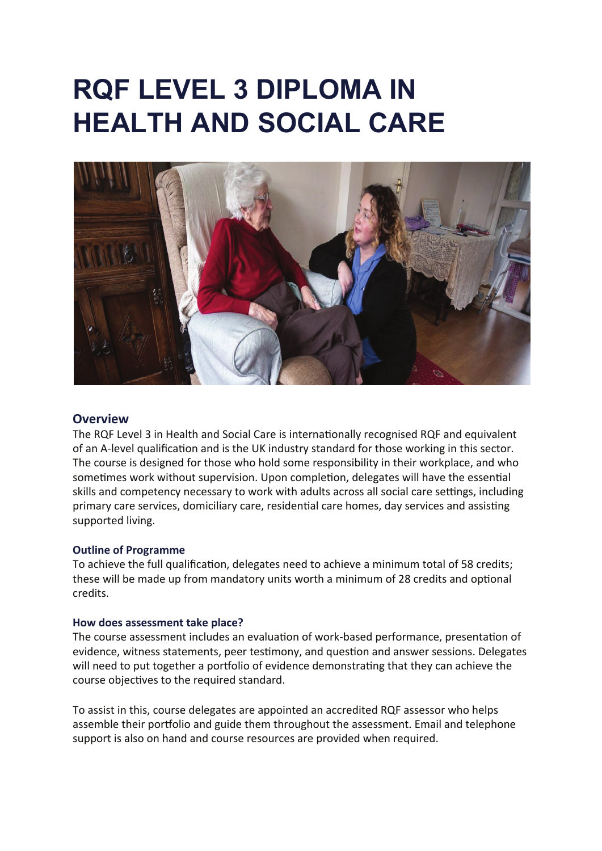# **RQF LEVEL 3 DIPLOMA IN HEALTH AND SOCIAL CARE**



# **Overview**

The RQF Level 3 in Health and Social Care is internationally recognised RQF and equivalent of an A-level qualification and is the UK industry standard for those working in this sector. The course is designed for those who hold some responsibility in their workplace, and who sometimes work without supervision. Upon completion, delegates will have the essential skills and competency necessary to work with adults across all social care settings, including primary care services, domiciliary care, residential care homes, day services and assisting supported living.

#### **Outline of Programme**

To achieve the full qualification, delegates need to achieve a minimum total of 58 credits; these will be made up from mandatory units worth a minimum of 28 credits and optional credits.

#### **How does assessment take place?**

The course assessment includes an evaluation of work-based performance, presentation of evidence, witness statements, peer testimony, and question and answer sessions. Delegates will need to put together a portfolio of evidence demonstrating that they can achieve the course objectives to the required standard.

To assist in this, course delegates are appointed an accredited RQF assessor who helps assemble their portfolio and guide them throughout the assessment. Email and telephone support is also on hand and course resources are provided when required.